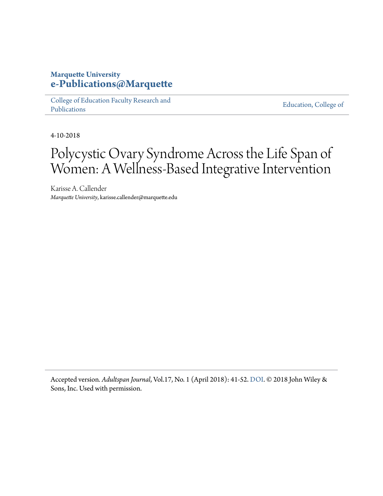## **Marquette University [e-Publications@Marquette](https://epublications.marquette.edu)**

[College of Education Faculty Research and](https://epublications.marquette.edu/edu_fac) [Publications](https://epublications.marquette.edu/edu_fac)

[Education, College of](https://epublications.marquette.edu/education)

4-10-2018

## Polycystic Ovary Syndrome Across the Life Span of Women: A Wellness-Based Integrative Intervention

Karisse A. Callender *Marquette University*, karisse.callender@marquette.edu

Accepted version*. Adultspan Journal*, Vol.17, No. 1 (April 2018): 41-52. [DOI](https://doi.org/10.1002/adsp.12052). © 2018 John Wiley & Sons, Inc. Used with permission.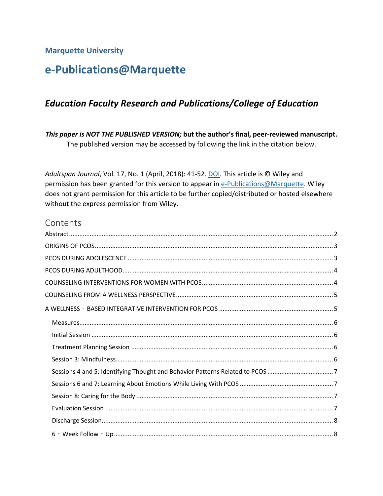**Marquette University**

## **e-Publications@Marquette**

## *Education Faculty Research and Publications/College of Education*

*This paper is NOT THE PUBLISHED VERSION;* **but the author's final, peer-reviewed manuscript.**  The published version may be accessed by following the link in the citation below.

*Adultspan Journal*, Vol. 17, No. 1 (April, 2018): 41-52. [DOI.](https://dx.doi.org/10.1002/adsp.12052) This article is © Wiley and permission has been granted for this version to appear in [e-Publications@Marquette.](http://epublications.marquette.edu/) Wiley does not grant permission for this article to be further copied/distributed or hosted elsewhere without the express permission from Wiley.

## **Contents**

| Sessions 4 and 5: Identifying Thought and Behavior Patterns Related to PCOS 7 |
|-------------------------------------------------------------------------------|
|                                                                               |
|                                                                               |
|                                                                               |
|                                                                               |
|                                                                               |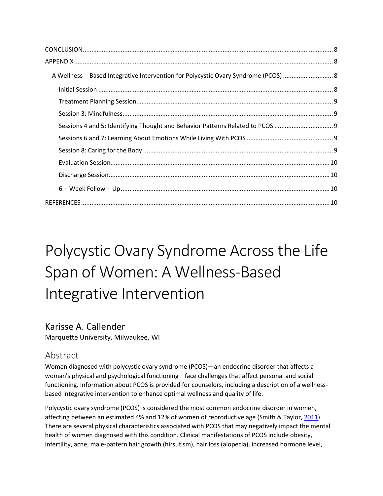| A Wellness - Based Integrative Intervention for Polycystic Ovary Syndrome (PCOS)  8 |  |
|-------------------------------------------------------------------------------------|--|
|                                                                                     |  |
|                                                                                     |  |
|                                                                                     |  |
| Sessions 4 and 5: Identifying Thought and Behavior Patterns Related to PCOS         |  |
|                                                                                     |  |
|                                                                                     |  |
|                                                                                     |  |
|                                                                                     |  |
|                                                                                     |  |
|                                                                                     |  |

# Polycystic Ovary Syndrome Across the Life Span of Women: A Wellness‐Based Integrative Intervention

## Karisse A. Callender

<span id="page-2-0"></span>Marquette University, Milwaukee, WI

## Abstract

Women diagnosed with polycystic ovary syndrome (PCOS)—an endocrine disorder that affects a woman's physical and psychological functioning—face challenges that affect personal and social functioning. Information about PCOS is provided for counselors, including a description of a wellnessbased integrative intervention to enhance optimal wellness and quality of life.

Polycystic ovary syndrome (PCOS) is considered the most common endocrine disorder in women, affecting between an estimated 4% and 12% of women of reproductive age (Smith & Taylor, [2011\)](https://onlinelibrary.wiley.com/doi/full/10.1002/adsp.12052#adsp12052-bib-0029). There are several physical characteristics associated with PCOS that may negatively impact the mental health of women diagnosed with this condition. Clinical manifestations of PCOS include obesity, infertility, acne, male-pattern hair growth (hirsutism), hair loss (alopecia), increased hormone level,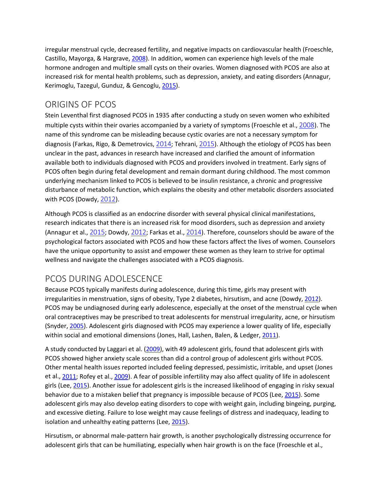irregular menstrual cycle, decreased fertility, and negative impacts on cardiovascular health (Froeschle, Castillo, Mayorga, & Hargrave[, 2008\)](https://onlinelibrary.wiley.com/doi/full/10.1002/adsp.12052#adsp12052-bib-0013). In addition, women can experience high levels of the male hormone androgen and multiple small cysts on their ovaries. Women diagnosed with PCOS are also at increased risk for mental health problems, such as depression, anxiety, and eating disorders (Annagur, Kerimoglu, Tazegul, Gunduz, & Gencoglu, [2015\)](https://onlinelibrary.wiley.com/doi/full/10.1002/adsp.12052#adsp12052-bib-0001).

## <span id="page-3-0"></span>ORIGINS OF PCOS

Stein Leventhal first diagnosed PCOS in 1935 after conducting a study on seven women who exhibited multiple cysts within their ovaries accompanied by a variety of symptoms (Froeschle et al., [2008](https://onlinelibrary.wiley.com/doi/full/10.1002/adsp.12052#adsp12052-bib-0013)). The name of this syndrome can be misleading because cystic ovaries are not a necessary symptom for diagnosis (Farkas, Rigo, & Demetrovics,  $2014$ ; Tehrani,  $2015$ ). Although the etiology of PCOS has been unclear in the past, advances in research have increased and clarified the amount of information available both to individuals diagnosed with PCOS and providers involved in treatment. Early signs of PCOS often begin during fetal development and remain dormant during childhood. The most common underlying mechanism linked to PCOS is believed to be insulin resistance, a chronic and progressive disturbance of metabolic function, which explains the obesity and other metabolic disorders associated with PCOS (Dowdy, [2012](https://onlinelibrary.wiley.com/doi/full/10.1002/adsp.12052#adsp12052-bib-0008)).

Although PCOS is classified as an endocrine disorder with several physical clinical manifestations, research indicates that there is an increased risk for mood disorders, such as depression and anxiety (Annagur et al., [2015](https://onlinelibrary.wiley.com/doi/full/10.1002/adsp.12052#adsp12052-bib-0001); Dowdy, [2012](https://onlinelibrary.wiley.com/doi/full/10.1002/adsp.12052#adsp12052-bib-0008); Farkas et al., [2014](https://onlinelibrary.wiley.com/doi/full/10.1002/adsp.12052#adsp12052-bib-0011)). Therefore, counselors should be aware of the psychological factors associated with PCOS and how these factors affect the lives of women. Counselors have the unique opportunity to assist and empower these women as they learn to strive for optimal wellness and navigate the challenges associated with a PCOS diagnosis.

## <span id="page-3-1"></span>PCOS DURING ADOLESCENCE

Because PCOS typically manifests during adolescence, during this time, girls may present with irregularities in menstruation, signs of obesity, Type 2 diabetes, hirsutism, and acne (Dowdy, [2012\)](https://onlinelibrary.wiley.com/doi/full/10.1002/adsp.12052#adsp12052-bib-0008). PCOS may be undiagnosed during early adolescence, especially at the onset of the menstrual cycle when oral contraceptives may be prescribed to treat adolescents for menstrual irregularity, acne, or hirsutism (Snyder[, 2005\)](https://onlinelibrary.wiley.com/doi/full/10.1002/adsp.12052#adsp12052-bib-0030). Adolescent girls diagnosed with PCOS may experience a lower quality of life, especially within social and emotional dimensions (Jones, Hall, Lashen, Balen, & Ledger, [2011\)](https://onlinelibrary.wiley.com/doi/full/10.1002/adsp.12052#adsp12052-bib-0020).

A study conducted by Laggari et al. [\(2009\)](https://onlinelibrary.wiley.com/doi/full/10.1002/adsp.12052#adsp12052-bib-0022), with 49 adolescent girls, found that adolescent girls with PCOS showed higher anxiety scale scores than did a control group of adolescent girls without PCOS. Other mental health issues reported included feeling depressed, pessimistic, irritable, and upset (Jones et al.[, 2011;](https://onlinelibrary.wiley.com/doi/full/10.1002/adsp.12052#adsp12052-bib-0020) Rofey et al.[, 2009\)](https://onlinelibrary.wiley.com/doi/full/10.1002/adsp.12052#adsp12052-bib-0028). A fear of possible infertility may also affect quality of life in adolescent girls (Lee, [2015\)](https://onlinelibrary.wiley.com/doi/full/10.1002/adsp.12052#adsp12052-bib-0023). Another issue for adolescent girls is the increased likelihood of engaging in risky sexual behavior due to a mistaken belief that pregnancy is impossible because of PCOS (Lee, [2015\)](https://onlinelibrary.wiley.com/doi/full/10.1002/adsp.12052#adsp12052-bib-0023). Some adolescent girls may also develop eating disorders to cope with weight gain, including bingeing, purging, and excessive dieting. Failure to lose weight may cause feelings of distress and inadequacy, leading to isolation and unhealthy eating patterns (Lee[, 2015\)](https://onlinelibrary.wiley.com/doi/full/10.1002/adsp.12052#adsp12052-bib-0023).

Hirsutism, or abnormal male‐pattern hair growth, is another psychologically distressing occurrence for adolescent girls that can be humiliating, especially when hair growth is on the face (Froeschle et al.,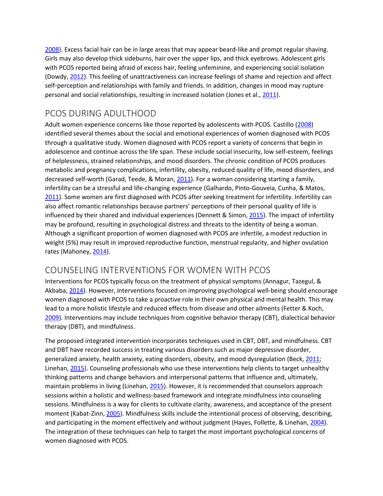[2008\)](https://onlinelibrary.wiley.com/doi/full/10.1002/adsp.12052#adsp12052-bib-0013). Excess facial hair can be in large areas that may appear beard‐like and prompt regular shaving. Girls may also develop thick sideburns, hair over the upper lips, and thick eyebrows. Adolescent girls with PCOS reported being afraid of excess hair, feeling unfeminine, and experiencing social isolation (Dowdy, [2012\)](https://onlinelibrary.wiley.com/doi/full/10.1002/adsp.12052#adsp12052-bib-0008). This feeling of unattractiveness can increase feelings of shame and rejection and affect self-perception and relationships with family and friends. In addition, changes in mood may rupture personal and social relationships, resulting in increased isolation (Jones et al.[, 2011\)](https://onlinelibrary.wiley.com/doi/full/10.1002/adsp.12052#adsp12052-bib-0020).

## <span id="page-4-0"></span>PCOS DURING ADULTHOOD

Adult women experience concerns like those reported by adolescents with PCOS. Castillo [\(2008\)](https://onlinelibrary.wiley.com/doi/full/10.1002/adsp.12052#adsp12052-bib-0005) identified several themes about the social and emotional experiences of women diagnosed with PCOS through a qualitative study. Women diagnosed with PCOS report a variety of concerns that begin in adolescence and continue across the life span. These include social insecurity, low self-esteem, feelings of helplessness, strained relationships, and mood disorders. The chronic condition of PCOS produces metabolic and pregnancy complications, infertility, obesity, reduced quality of life, mood disorders, and decreased self-worth (Garad, Teede, & Moran, [2011\)](https://onlinelibrary.wiley.com/doi/full/10.1002/adsp.12052#adsp12052-bib-0015). For a woman considering starting a family, infertility can be a stressful and life-changing experience (Galhardo, Pinto-Gouveia, Cunha, & Matos, [2011\)](https://onlinelibrary.wiley.com/doi/full/10.1002/adsp.12052#adsp12052-bib-0014). Some women are first diagnosed with PCOS after seeking treatment for infertility. Infertility can also affect romantic relationships because partners' perceptions of their personal quality of life is influenced by their shared and individual experiences (Dennett & Simon[, 2015\)](https://onlinelibrary.wiley.com/doi/full/10.1002/adsp.12052#adsp12052-bib-0007). The impact of infertility may be profound, resulting in psychological distress and threats to the identity of being a woman. Although a significant proportion of women diagnosed with PCOS are infertile, a modest reduction in weight (5%) may result in improved reproductive function, menstrual regularity, and higher ovulation rates (Mahoney, [2014\)](https://onlinelibrary.wiley.com/doi/full/10.1002/adsp.12052#adsp12052-bib-0025).

## <span id="page-4-1"></span>COUNSELING INTERVENTIONS FOR WOMEN WITH PCOS

Interventions for PCOS typically focus on the treatment of physical symptoms (Annagur, Tazegul, & Akbaba[, 2014\)](https://onlinelibrary.wiley.com/doi/full/10.1002/adsp.12052#adsp12052-bib-0002). However, interventions focused on improving psychological well‐being should encourage women diagnosed with PCOS to take a proactive role in their own physical and mental health. This may lead to a more holistic lifestyle and reduced effects from disease and other ailments (Fetter & Koch, [2009\)](https://onlinelibrary.wiley.com/doi/full/10.1002/adsp.12052#adsp12052-bib-0012). Interventions may include techniques from cognitive behavior therapy (CBT), dialectical behavior therapy (DBT), and mindfulness.

The proposed integrated intervention incorporates techniques used in CBT, DBT, and mindfulness. CBT and DBT have recorded success in treating various disorders such as major depressive disorder, generalized anxiety, health anxiety, eating disorders, obesity, and mood dysregulation (Beck[, 2011;](https://onlinelibrary.wiley.com/doi/full/10.1002/adsp.12052#adsp12052-bib-0003) Linehan[, 2015\)](https://onlinelibrary.wiley.com/doi/full/10.1002/adsp.12052#adsp12052-bib-0024). Counseling professionals who use these interventions help clients to target unhealthy thinking patterns and change behaviors and interpersonal patterns that influence and, ultimately, maintain problems in living (Linehan[, 2015\)](https://onlinelibrary.wiley.com/doi/full/10.1002/adsp.12052#adsp12052-bib-0024). However, it is recommended that counselors approach sessions within a holistic and wellness‐based framework and integrate mindfulness into counseling sessions. Mindfulness is a way for clients to cultivate clarity, awareness, and acceptance of the present moment (Kabat-Zinn, [2005\)](https://onlinelibrary.wiley.com/doi/full/10.1002/adsp.12052#adsp12052-bib-0021). Mindfulness skills include the intentional process of observing, describing, and participating in the moment effectively and without judgment (Hayes, Follette, & Linehan, [2004\)](https://onlinelibrary.wiley.com/doi/full/10.1002/adsp.12052#adsp12052-bib-0017). The integration of these techniques can help to target the most important psychological concerns of women diagnosed with PCOS.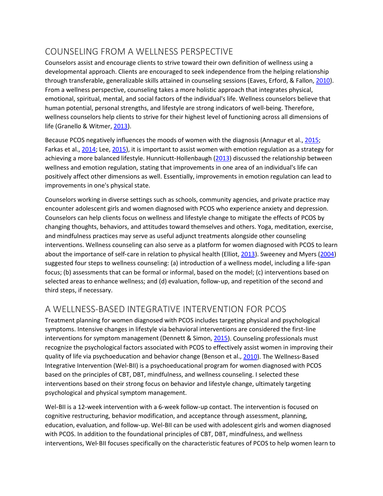## <span id="page-5-0"></span>COUNSELING FROM A WELLNESS PERSPECTIVE

Counselors assist and encourage clients to strive toward their own definition of wellness using a developmental approach. Clients are encouraged to seek independence from the helping relationship through transferable, generalizable skills attained in counseling sessions (Eaves, Erford, & Fallon, [2010\)](https://onlinelibrary.wiley.com/doi/full/10.1002/adsp.12052#adsp12052-bib-0009). From a wellness perspective, counseling takes a more holistic approach that integrates physical, emotional, spiritual, mental, and social factors of the individual's life. Wellness counselors believe that human potential, personal strengths, and lifestyle are strong indicators of well-being. Therefore, wellness counselors help clients to strive for their highest level of functioning across all dimensions of life (Granello & Witmer[, 2013\)](https://onlinelibrary.wiley.com/doi/full/10.1002/adsp.12052#adsp12052-bib-0016).

Because PCOS negatively influences the moods of women with the diagnosis (Annagur et al.[, 2015;](https://onlinelibrary.wiley.com/doi/full/10.1002/adsp.12052#adsp12052-bib-0001) Farkas et al.[, 2014;](https://onlinelibrary.wiley.com/doi/full/10.1002/adsp.12052#adsp12052-bib-0011) Lee, [2015\)](https://onlinelibrary.wiley.com/doi/full/10.1002/adsp.12052#adsp12052-bib-0023), it is important to assist women with emotion regulation as a strategy for achieving a more balanced lifestyle. Hunnicutt-Hollenbaugh [\(2013\)](https://onlinelibrary.wiley.com/doi/full/10.1002/adsp.12052#adsp12052-bib-0018) discussed the relationship between wellness and emotion regulation, stating that improvements in one area of an individual's life can positively affect other dimensions as well. Essentially, improvements in emotion regulation can lead to improvements in one's physical state.

Counselors working in diverse settings such as schools, community agencies, and private practice may encounter adolescent girls and women diagnosed with PCOS who experience anxiety and depression. Counselors can help clients focus on wellness and lifestyle change to mitigate the effects of PCOS by changing thoughts, behaviors, and attitudes toward themselves and others. Yoga, meditation, exercise, and mindfulness practices may serve as useful adjunct treatments alongside other counseling interventions. Wellness counseling can also serve as a platform for women diagnosed with PCOS to learn about the importance of self‐care in relation to physical health (Elliot, [2013\)](https://onlinelibrary.wiley.com/doi/full/10.1002/adsp.12052#adsp12052-bib-0010). Sweeney and Myers [\(2004\)](https://onlinelibrary.wiley.com/doi/full/10.1002/adsp.12052#adsp12052-bib-0031) suggested four steps to wellness counseling: (a) introduction of a wellness model, including a life‐span focus; (b) assessments that can be formal or informal, based on the model; (c) interventions based on selected areas to enhance wellness; and (d) evaluation, follow‐up, and repetition of the second and third steps, if necessary.

## <span id="page-5-1"></span>A WELLNESS‐BASED INTEGRATIVE INTERVENTION FOR PCOS

Treatment planning for women diagnosed with PCOS includes targeting physical and psychological symptoms. Intensive changes in lifestyle via behavioral interventions are considered the first‐line interventions for symptom management (Dennett & Simon, [2015\)](https://onlinelibrary.wiley.com/doi/full/10.1002/adsp.12052#adsp12052-bib-0007). Counseling professionals must recognize the psychological factors associated with PCOS to effectively assist women in improving their quality of life via psychoeducation and behavior change (Benson et al., [2010\)](https://onlinelibrary.wiley.com/doi/full/10.1002/adsp.12052#adsp12052-bib-0004). The Wellness-Based Integrative Intervention (Wel‐BII) is a psychoeducational program for women diagnosed with PCOS based on the principles of CBT, DBT, mindfulness, and wellness counseling. I selected these interventions based on their strong focus on behavior and lifestyle change, ultimately targeting psychological and physical symptom management.

Wel-BII is a 12-week intervention with a 6-week follow-up contact. The intervention is focused on cognitive restructuring, behavior modification, and acceptance through assessment, planning, education, evaluation, and follow‐up. Wel‐BII can be used with adolescent girls and women diagnosed with PCOS. In addition to the foundational principles of CBT, DBT, mindfulness, and wellness interventions, Wel‐BII focuses specifically on the characteristic features of PCOS to help women learn to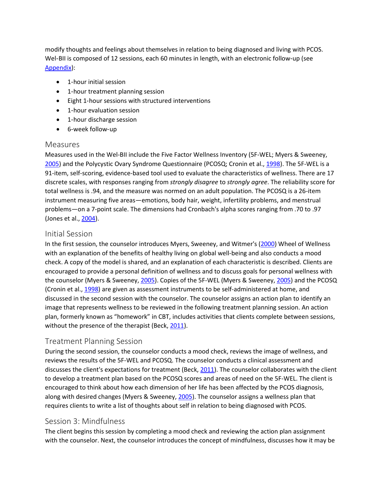modify thoughts and feelings about themselves in relation to being diagnosed and living with PCOS. Wel-BII is composed of 12 sessions, each 60 minutes in length, with an electronic follow-up (see [Appendix\)](https://onlinelibrary.wiley.com/doi/full/10.1002/adsp.12052#adsp12052-sec-0190):

- 1-hour initial session
- 1-hour treatment planning session
- Eight 1‐hour sessions with structured interventions
- 1-hour evaluation session
- 1-hour discharge session
- 6‐week follow‐up

#### <span id="page-6-0"></span>Measures

Measures used in the Wel-BII include the Five Factor Wellness Inventory (5F-WEL; Myers & Sweeney, [2005\)](https://onlinelibrary.wiley.com/doi/full/10.1002/adsp.12052#adsp12052-bib-0026) and the Polycystic Ovary Syndrome Questionnaire (PCOSQ; Cronin et al.[, 1998\)](https://onlinelibrary.wiley.com/doi/full/10.1002/adsp.12052#adsp12052-bib-0006). The 5F-WEL is a 91-item, self-scoring, evidence-based tool used to evaluate the characteristics of wellness. There are 17 discrete scales, with responses ranging from *strongly disagree* to *strongly agree*. The reliability score for total wellness is .94, and the measure was normed on an adult population. The PCOSQ is a 26-item instrument measuring five areas—emotions, body hair, weight, infertility problems, and menstrual problems—on a 7-point scale. The dimensions had Cronbach's alpha scores ranging from .70 to .97 (Jones et al., [2004\)](https://onlinelibrary.wiley.com/doi/full/10.1002/adsp.12052#adsp12052-bib-0019).

#### <span id="page-6-1"></span>Initial Session

In the first session, the counselor introduces Myers, Sweeney, and Witmer's [\(2000\)](https://onlinelibrary.wiley.com/doi/full/10.1002/adsp.12052#adsp12052-bib-0027) Wheel of Wellness with an explanation of the benefits of healthy living on global well-being and also conducts a mood check. A copy of the model is shared, and an explanation of each characteristic is described. Clients are encouraged to provide a personal definition of wellness and to discuss goals for personal wellness with the counselor (Myers & Sweeney, [2005\)](https://onlinelibrary.wiley.com/doi/full/10.1002/adsp.12052#adsp12052-bib-0026). Copies of the 5F-WEL (Myers & Sweeney[, 2005\)](https://onlinelibrary.wiley.com/doi/full/10.1002/adsp.12052#adsp12052-bib-0026) and the PCOSQ (Cronin et al., [1998\)](https://onlinelibrary.wiley.com/doi/full/10.1002/adsp.12052#adsp12052-bib-0006) are given as assessment instruments to be self-administered at home, and discussed in the second session with the counselor. The counselor assigns an action plan to identify an image that represents wellness to be reviewed in the following treatment planning session. An action plan, formerly known as "homework" in CBT, includes activities that clients complete between sessions, without the presence of the therapist (Beck, [2011\)](https://onlinelibrary.wiley.com/doi/full/10.1002/adsp.12052#adsp12052-bib-0003).

#### <span id="page-6-2"></span>Treatment Planning Session

During the second session, the counselor conducts a mood check, reviews the image of wellness, and reviews the results of the 5F-WEL and PCOSQ. The counselor conducts a clinical assessment and discusses the client's expectations for treatment (Beck, [2011\)](https://onlinelibrary.wiley.com/doi/full/10.1002/adsp.12052#adsp12052-bib-0003). The counselor collaborates with the client to develop a treatment plan based on the PCOSQ scores and areas of need on the 5F-WEL. The client is encouraged to think about how each dimension of her life has been affected by the PCOS diagnosis, along with desired changes (Myers & Sweeney, [2005\)](https://onlinelibrary.wiley.com/doi/full/10.1002/adsp.12052#adsp12052-bib-0026). The counselor assigns a wellness plan that requires clients to write a list of thoughts about self in relation to being diagnosed with PCOS.

#### <span id="page-6-3"></span>Session 3: Mindfulness

The client begins this session by completing a mood check and reviewing the action plan assignment with the counselor. Next, the counselor introduces the concept of mindfulness, discusses how it may be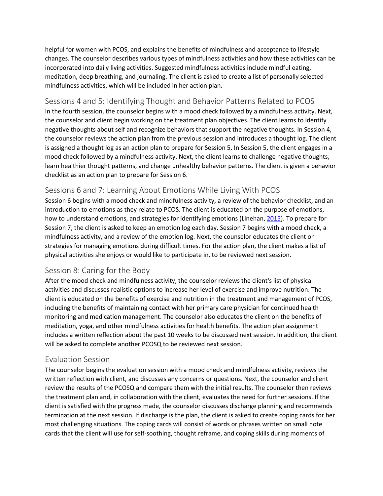helpful for women with PCOS, and explains the benefits of mindfulness and acceptance to lifestyle changes. The counselor describes various types of mindfulness activities and how these activities can be incorporated into daily living activities. Suggested mindfulness activities include mindful eating, meditation, deep breathing, and journaling. The client is asked to create a list of personally selected mindfulness activities, which will be included in her action plan.

#### <span id="page-7-0"></span>Sessions 4 and 5: Identifying Thought and Behavior Patterns Related to PCOS

In the fourth session, the counselor begins with a mood check followed by a mindfulness activity. Next, the counselor and client begin working on the treatment plan objectives. The client learns to identify negative thoughts about self and recognize behaviors that support the negative thoughts. In Session 4, the counselor reviews the action plan from the previous session and introduces a thought log. The client is assigned a thought log as an action plan to prepare for Session 5. In Session 5, the client engages in a mood check followed by a mindfulness activity. Next, the client learns to challenge negative thoughts, learn healthier thought patterns, and change unhealthy behavior patterns. The client is given a behavior checklist as an action plan to prepare for Session 6.

## <span id="page-7-1"></span>Sessions 6 and 7: Learning About Emotions While Living With PCOS

Session 6 begins with a mood check and mindfulness activity, a review of the behavior checklist, and an introduction to emotions as they relate to PCOS. The client is educated on the purpose of emotions, how to understand emotions, and strategies for identifying emotions (Linehan[, 2015\)](https://onlinelibrary.wiley.com/doi/full/10.1002/adsp.12052#adsp12052-bib-0024). To prepare for Session 7, the client is asked to keep an emotion log each day. Session 7 begins with a mood check, a mindfulness activity, and a review of the emotion log. Next, the counselor educates the client on strategies for managing emotions during difficult times. For the action plan, the client makes a list of physical activities she enjoys or would like to participate in, to be reviewed next session.

#### <span id="page-7-2"></span>Session 8: Caring for the Body

After the mood check and mindfulness activity, the counselor reviews the client's list of physical activities and discusses realistic options to increase her level of exercise and improve nutrition. The client is educated on the benefits of exercise and nutrition in the treatment and management of PCOS, including the benefits of maintaining contact with her primary care physician for continued health monitoring and medication management. The counselor also educates the client on the benefits of meditation, yoga, and other mindfulness activities for health benefits. The action plan assignment includes a written reflection about the past 10 weeks to be discussed next session. In addition, the client will be asked to complete another PCOSQ to be reviewed next session.

#### <span id="page-7-3"></span>Evaluation Session

The counselor begins the evaluation session with a mood check and mindfulness activity, reviews the written reflection with client, and discusses any concerns or questions. Next, the counselor and client review the results of the PCOSQ and compare them with the initial results. The counselor then reviews the treatment plan and, in collaboration with the client, evaluates the need for further sessions. If the client is satisfied with the progress made, the counselor discusses discharge planning and recommends termination at the next session. If discharge is the plan, the client is asked to create coping cards for her most challenging situations. The coping cards will consist of words or phrases written on small note cards that the client will use for self-soothing, thought reframe, and coping skills during moments of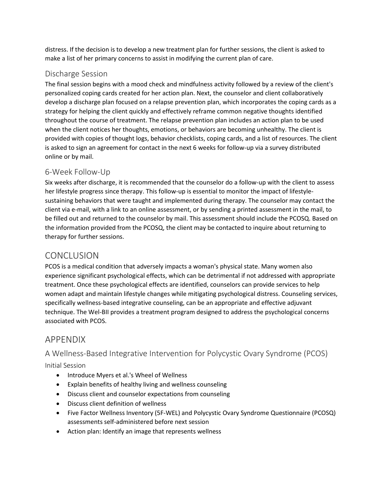distress. If the decision is to develop a new treatment plan for further sessions, the client is asked to make a list of her primary concerns to assist in modifying the current plan of care.

#### <span id="page-8-0"></span>Discharge Session

The final session begins with a mood check and mindfulness activity followed by a review of the client's personalized coping cards created for her action plan. Next, the counselor and client collaboratively develop a discharge plan focused on a relapse prevention plan, which incorporates the coping cards as a strategy for helping the client quickly and effectively reframe common negative thoughts identified throughout the course of treatment. The relapse prevention plan includes an action plan to be used when the client notices her thoughts, emotions, or behaviors are becoming unhealthy. The client is provided with copies of thought logs, behavior checklists, coping cards, and a list of resources. The client is asked to sign an agreement for contact in the next 6 weeks for follow-up via a survey distributed online or by mail.

### <span id="page-8-1"></span>6‐Week Follow‐Up

Six weeks after discharge, it is recommended that the counselor do a follow-up with the client to assess her lifestyle progress since therapy. This follow-up is essential to monitor the impact of lifestylesustaining behaviors that were taught and implemented during therapy. The counselor may contact the client via e-mail, with a link to an online assessment, or by sending a printed assessment in the mail, to be filled out and returned to the counselor by mail. This assessment should include the PCOSQ. Based on the information provided from the PCOSQ, the client may be contacted to inquire about returning to therapy for further sessions.

## <span id="page-8-2"></span>**CONCLUSION**

PCOS is a medical condition that adversely impacts a woman's physical state. Many women also experience significant psychological effects, which can be detrimental if not addressed with appropriate treatment. Once these psychological effects are identified, counselors can provide services to help women adapt and maintain lifestyle changes while mitigating psychological distress. Counseling services, specifically wellness-based integrative counseling, can be an appropriate and effective adjuvant technique. The Wel-BII provides a treatment program designed to address the psychological concerns associated with PCOS.

## <span id="page-8-3"></span>APPENDIX

## <span id="page-8-4"></span>A Wellness‐Based Integrative Intervention for Polycystic Ovary Syndrome (PCOS)

<span id="page-8-5"></span>Initial Session

- Introduce Myers et al.'s Wheel of Wellness
- Explain benefits of healthy living and wellness counseling
- Discuss client and counselor expectations from counseling
- Discuss client definition of wellness
- Five Factor Wellness Inventory (5F-WEL) and Polycystic Ovary Syndrome Questionnaire (PCOSQ) assessments self-administered before next session
- Action plan: Identify an image that represents wellness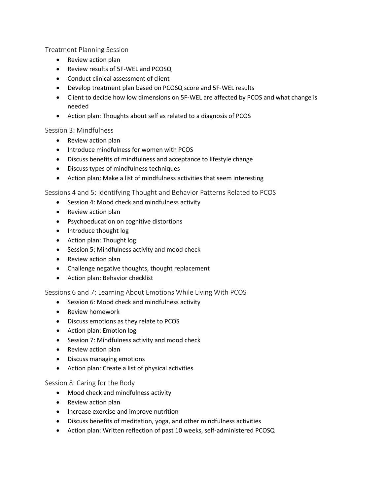<span id="page-9-0"></span>Treatment Planning Session

- Review action plan
- Review results of 5F‐WEL and PCOSQ
- Conduct clinical assessment of client
- Develop treatment plan based on PCOSQ score and 5F‐WEL results
- Client to decide how low dimensions on 5F-WEL are affected by PCOS and what change is needed
- Action plan: Thoughts about self as related to a diagnosis of PCOS

#### <span id="page-9-1"></span>Session 3: Mindfulness

- Review action plan
- Introduce mindfulness for women with PCOS
- Discuss benefits of mindfulness and acceptance to lifestyle change
- Discuss types of mindfulness techniques
- Action plan: Make a list of mindfulness activities that seem interesting

<span id="page-9-2"></span>Sessions 4 and 5: Identifying Thought and Behavior Patterns Related to PCOS

- Session 4: Mood check and mindfulness activity
- Review action plan
- Psychoeducation on cognitive distortions
- Introduce thought log
- Action plan: Thought log
- Session 5: Mindfulness activity and mood check
- Review action plan
- Challenge negative thoughts, thought replacement
- Action plan: Behavior checklist

#### <span id="page-9-3"></span>Sessions 6 and 7: Learning About Emotions While Living With PCOS

- Session 6: Mood check and mindfulness activity
- Review homework
- Discuss emotions as they relate to PCOS
- Action plan: Emotion log
- Session 7: Mindfulness activity and mood check
- Review action plan
- Discuss managing emotions
- Action plan: Create a list of physical activities

#### <span id="page-9-4"></span>Session 8: Caring for the Body

- Mood check and mindfulness activity
- Review action plan
- Increase exercise and improve nutrition
- Discuss benefits of meditation, yoga, and other mindfulness activities
- Action plan: Written reflection of past 10 weeks, self-administered PCOSQ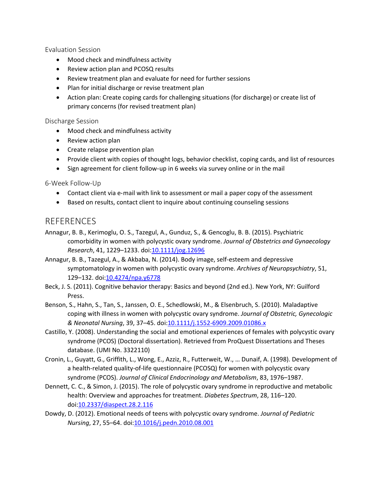<span id="page-10-0"></span>Evaluation Session

- Mood check and mindfulness activity
- Review action plan and PCOSQ results
- Review treatment plan and evaluate for need for further sessions
- Plan for initial discharge or revise treatment plan
- Action plan: Create coping cards for challenging situations (for discharge) or create list of primary concerns (for revised treatment plan)

#### <span id="page-10-1"></span>Discharge Session

- Mood check and mindfulness activity
- Review action plan
- Create relapse prevention plan
- Provide client with copies of thought logs, behavior checklist, coping cards, and list of resources
- Sign agreement for client follow-up in 6 weeks via survey online or in the mail

#### <span id="page-10-2"></span>6‐Week Follow‐Up

- Contact client via e-mail with link to assessment or mail a paper copy of the assessment
- Based on results, contact client to inquire about continuing counseling sessions

#### <span id="page-10-3"></span>**REFERENCES**

- Annagur, B. B., Kerimoglu, O. S., Tazegul, A., Gunduz, S., & Gencoglu, B. B. (2015). Psychiatric comorbidity in women with polycystic ovary syndrome. *Journal of Obstetrics and Gynaecology Research*, 41, 1229–1233. doi[:10.1111/jog.12696](https://doi.org/10.1111/jog.12696)
- Annagur, B. B., Tazegul, A., & Akbaba, N. (2014). Body image, self-esteem and depressive symptomatology in women with polycystic ovary syndrome. *Archives of Neuropsychiatry*, 51, 129–132. doi[:10.4274/npa.y6778](https://doi.org/10.4274/npa.y6778)
- Beck, J. S. (2011). Cognitive behavior therapy: Basics and beyond (2nd ed.). New York, NY: Guilford Press.
- Benson, S., Hahn, S., Tan, S., Janssen, O. E., Schedlowski, M., & Elsenbruch, S. (2010). Maladaptive coping with illness in women with polycystic ovary syndrome. *Journal of Obstetric, Gynecologic & Neonatal Nursing*, 39, 37–45. doi[:10.1111/j.1552-6909.2009.01086.x](https://doi.org/10.1111/j.1552-6909.2009.01086.x)
- Castillo, Y. (2008). Understanding the social and emotional experiences of females with polycystic ovary syndrome (PCOS) (Doctoral dissertation). Retrieved from ProQuest Dissertations and Theses database. (UMI No. 3322110)
- Cronin, L., Guyatt, G., Griffith, L., Wong, E., Azziz, R., Futterweit, W., … Dunaif, A. (1998). Development of a health-related quality-of-life questionnaire (PCOSQ) for women with polycystic ovary syndrome (PCOS). *Journal of Clinical Endocrinology and Metabolism*, 83, 1976–1987.
- Dennett, C. C., & Simon, J. (2015). The role of polycystic ovary syndrome in reproductive and metabolic health: Overview and approaches for treatment. *Diabetes Spectrum*, 28, 116–120. doi[:10.2337/diaspect.28.2.116](https://doi.org/10.2337/diaspect.28.2.116)
- Dowdy, D. (2012). Emotional needs of teens with polycystic ovary syndrome. *Journal of Pediatric Nursing*, 27, 55–64. doi[:10.1016/j.pedn.2010.08.001](https://doi.org/10.1016/j.pedn.2010.08.001)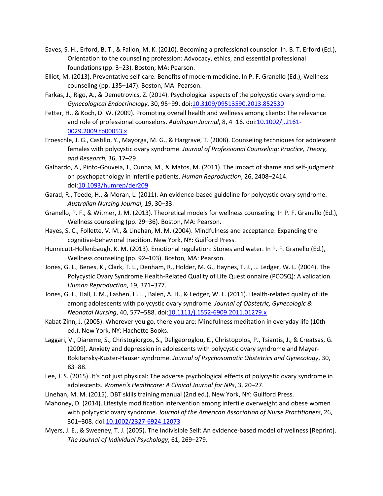- Eaves, S. H., Erford, B. T., & Fallon, M. K. (2010). Becoming a professional counselor. In. B. T. Erford (Ed.), Orientation to the counseling profession: Advocacy, ethics, and essential professional foundations (pp. 3–23). Boston, MA: Pearson.
- Elliot, M. (2013). Preventative self-care: Benefits of modern medicine. In P. F. Granello (Ed.), Wellness counseling (pp. 135–147). Boston, MA: Pearson.
- Farkas, J., Rigo, A., & Demetrovics, Z. (2014). Psychological aspects of the polycystic ovary syndrome. *Gynecological Endocrinology*, 30, 95–99. doi[:10.3109/09513590.2013.852530](https://doi.org/10.3109/09513590.2013.852530)
- Fetter, H., & Koch, D. W. (2009). Promoting overall health and wellness among clients: The relevance and role of professional counselors. *Adultspan Journal*, 8, 4–16. doi[:10.1002/j.2161-](https://doi.org/10.1002/j.2161-0029.2009.tb00053.x) [0029.2009.tb00053.x](https://doi.org/10.1002/j.2161-0029.2009.tb00053.x)
- Froeschle, J. G., Castillo, Y., Mayorga, M. G., & Hargrave, T. (2008). Counseling techniques for adolescent females with polycystic ovary syndrome. *Journal of Professional Counseling: Practice, Theory, and Research*, 36, 17–29.
- Galhardo, A., Pinto-Gouveia, J., Cunha, M., & Matos, M. (2011). The impact of shame and self-judgment on psychopathology in infertile patients. *Human Reproduction*, 26, 2408–2414. doi[:10.1093/humrep/der209](https://doi.org/10.1093/humrep/der209)
- Garad, R., Teede, H., & Moran, L. (2011). An evidence-based guideline for polycystic ovary syndrome. *Australian Nursing Journal*, 19, 30–33.
- Granello, P. F., & Witmer, J. M. (2013). Theoretical models for wellness counseling. In P. F. Granello (Ed.), Wellness counseling (pp. 29–36). Boston, MA: Pearson.
- Hayes, S. C., Follette, V. M., & Linehan, M. M. (2004). Mindfulness and acceptance: Expanding the cognitive-behavioral tradition. New York, NY: Guilford Press.
- Hunnicutt-Hollenbaugh, K. M. (2013). Emotional regulation: Stones and water. In P. F. Granello (Ed.), Wellness counseling (pp. 92–103). Boston, MA: Pearson.
- Jones, G. L., Benes, K., Clark, T. L., Denham, R., Holder, M. G., Haynes, T. J., … Ledger, W. L. (2004). The Polycystic Ovary Syndrome Health-Related Quality of Life Questionnaire (PCOSQ): A validation. *Human Reproduction*, 19, 371–377.
- Jones, G. L., Hall, J. M., Lashen, H. L., Balen, A. H., & Ledger, W. L. (2011). Health-related quality of life among adolescents with polycystic ovary syndrome. *Journal of Obstetric, Gynecologic & Neonatal Nursing*, 40, 577–588. doi[:10.1111/j.1552-6909.2011.01279.x](https://doi.org/10.1111/j.1552-6909.2011.01279.x)
- Kabat-Zinn, J. (2005). Wherever you go, there you are: Mindfulness meditation in everyday life (10th ed.). New York, NY: Hachette Books.
- Laggari, V., Diareme, S., Christogiorgos, S., Deligeoroglou, E., Christopolos, P., Tsiantis, J., & Creatsas, G. (2009). Anxiety and depression in adolescents with polycystic ovary syndrome and Mayer-Rokitansky-Kuster-Hauser syndrome. *Journal of Psychosomatic Obstetrics and Gynecology*, 30, 83–88.
- Lee, J. S. (2015). It's not just physical: The adverse psychological effects of polycystic ovary syndrome in adolescents. *Women's Healthcare: A Clinical Journal for NPs*, 3, 20–27.
- Linehan, M. M. (2015). DBT skills training manual (2nd ed.). New York, NY: Guilford Press.
- Mahoney, D. (2014). Lifestyle modification intervention among infertile overweight and obese women with polycystic ovary syndrome. *Journal of the American Association of Nurse Practitioners*, 26, 301–308. doi[:10.1002/2327-6924.12073](https://doi.org/10.1002/2327-6924.12073)
- Myers, J. E., & Sweeney, T. J. (2005). The Indivisible Self: An evidence-based model of wellness [Reprint]. *The Journal of Individual Psychology*, 61, 269–279.